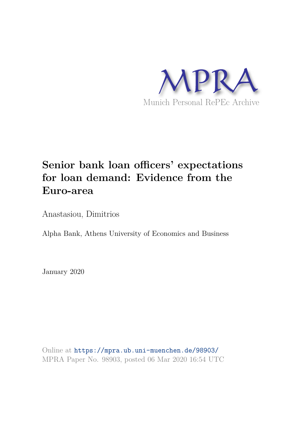

# **Senior bank loan officers' expectations for loan demand: Evidence from the Euro-area**

Anastasiou, Dimitrios

Alpha Bank, Athens University of Economics and Business

January 2020

Online at https://mpra.ub.uni-muenchen.de/98903/ MPRA Paper No. 98903, posted 06 Mar 2020 16:54 UTC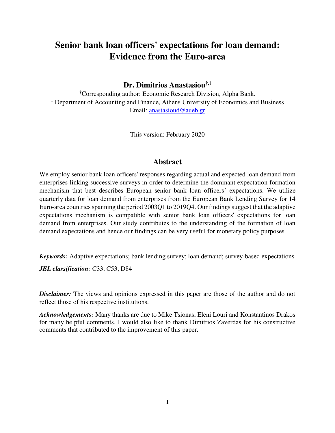# **Senior bank loan officers' expectations for loan demand: Evidence from the Euro-area**

**Dr. Dimitrios Anastasiou**†,1

†Corresponding author: Economic Research Division, Alpha Bank. <sup>1</sup> Department of Accounting and Finance, Athens University of Economics and Business Email: [anastasioud@aueb.gr](mailto:anastasioud@aueb.gr) 

This version: February 2020

# **Abstract**

We employ senior bank loan officers' responses regarding actual and expected loan demand from enterprises linking successive surveys in order to determine the dominant expectation formation mechanism that best describes European senior bank loan officers' expectations. We utilize quarterly data for loan demand from enterprises from the European Bank Lending Survey for 14 Euro-area countries spanning the period 2003Q1 to 2019Q4. Our findings suggest that the adaptive expectations mechanism is compatible with senior bank loan officers' expectations for loan demand from enterprises. Our study contributes to the understanding of the formation of loan demand expectations and hence our findings can be very useful for monetary policy purposes.

*Keywords:* Adaptive expectations; bank lending survey; loan demand; survey-based expectations

*JEL classification:* C33, C53, D84

**Disclaimer:** The views and opinions expressed in this paper are those of the author and do not reflect those of his respective institutions.

*Acknowledgements:* Many thanks are due to Mike Tsionas, Eleni Louri and Konstantinos Drakos for many helpful comments. I would also like to thank Dimitrios Zaverdas for his constructive comments that contributed to the improvement of this paper.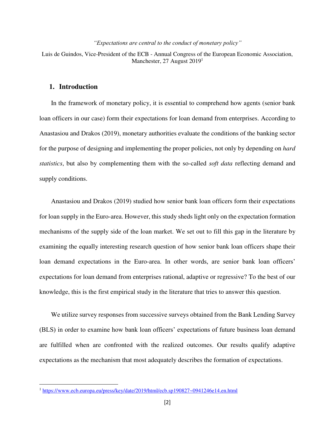#### *"Expectations are central to the conduct of monetary policy"*

Luis de Guindos, Vice-President of the ECB - Annual Congress of the European Economic Association, Manchester, 27 August 2019<sup>1</sup>

# **1. Introduction**

 $\overline{\phantom{0}}$ 

In the framework of monetary policy, it is essential to comprehend how agents (senior bank loan officers in our case) form their expectations for loan demand from enterprises. According to Anastasiou and Drakos (2019), monetary authorities evaluate the conditions of the banking sector for the purpose of designing and implementing the proper policies, not only by depending on *hard statistics*, but also by complementing them with the so-called *soft data* reflecting demand and supply conditions.

Anastasiou and Drakos (2019) studied how senior bank loan officers form their expectations for loan supply in the Euro-area. However, this study sheds light only on the expectation formation mechanisms of the supply side of the loan market. We set out to fill this gap in the literature by examining the equally interesting research question of how senior bank loan officers shape their loan demand expectations in the Euro-area. In other words, are senior bank loan officers' expectations for loan demand from enterprises rational, adaptive or regressive? To the best of our knowledge, this is the first empirical study in the literature that tries to answer this question.

We utilize survey responses from successive surveys obtained from the Bank Lending Survey (BLS) in order to examine how bank loan officers' expectations of future business loan demand are fulfilled when are confronted with the realized outcomes. Our results qualify adaptive expectations as the mechanism that most adequately describes the formation of expectations.

<sup>1</sup> <https://www.ecb.europa.eu/press/key/date/2019/html/ecb.sp190827~0941246e14.en.html>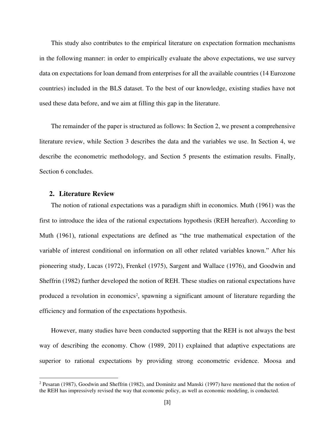This study also contributes to the empirical literature on expectation formation mechanisms in the following manner: in order to empirically evaluate the above expectations, we use survey data on expectations for loan demand from enterprises for all the available countries (14 Eurozone countries) included in the BLS dataset. To the best of our knowledge, existing studies have not used these data before, and we aim at filling this gap in the literature.

The remainder of the paper is structured as follows: In Section 2, we present a comprehensive literature review, while Section 3 describes the data and the variables we use. In Section 4, we describe the econometric methodology, and Section 5 presents the estimation results. Finally, Section 6 concludes.

# **2. Literature Review**

l

The notion of rational expectations was a paradigm shift in economics. Muth (1961) was the first to introduce the idea of the rational expectations hypothesis (REH hereafter). According to Muth (1961), rational expectations are defined as "the true mathematical expectation of the variable of interest conditional on information on all other related variables known." After his pioneering study, Lucas (1972), Frenkel (1975), Sargent and Wallace (1976), and Goodwin and Sheffrin (1982) further developed the notion of REH. These studies on rational expectations have produced a revolution in economics<sup>2</sup>, spawning a significant amount of literature regarding the efficiency and formation of the expectations hypothesis.

However, many studies have been conducted supporting that the REH is not always the best way of describing the economy. Chow (1989, 2011) explained that adaptive expectations are superior to rational expectations by providing strong econometric evidence. Moosa and

<sup>&</sup>lt;sup>2</sup> Pesaran (1987), Goodwin and Sheffrin (1982), and Dominitz and Manski (1997) have mentioned that the notion of the REH has impressively revised the way that economic policy, as well as economic modeling, is conducted.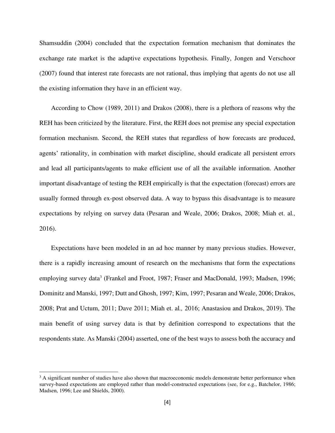Shamsuddin (2004) concluded that the expectation formation mechanism that dominates the exchange rate market is the adaptive expectations hypothesis. Finally, Jongen and Verschoor (2007) found that interest rate forecasts are not rational, thus implying that agents do not use all the existing information they have in an efficient way.

According to Chow (1989, 2011) and Drakos (2008), there is a plethora of reasons why the REH has been criticized by the literature. First, the REH does not premise any special expectation formation mechanism. Second, the REH states that regardless of how forecasts are produced, agents' rationality, in combination with market discipline, should eradicate all persistent errors and lead all participants/agents to make efficient use of all the available information. Another important disadvantage of testing the REH empirically is that the expectation (forecast) errors are usually formed through ex-post observed data. A way to bypass this disadvantage is to measure expectations by relying on survey data (Pesaran and Weale, 2006; Drakos, 2008; Miah et. al*.,* 2016).

Expectations have been modeled in an ad hoc manner by many previous studies. However, there is a rapidly increasing amount of research on the mechanisms that form the expectations employing survey data<sup>3</sup> (Frankel and Froot, 1987; Fraser and MacDonald, 1993; Madsen, 1996; Dominitz and Manski, 1997; Dutt and Ghosh, 1997; Kim, 1997; Pesaran and Weale, 2006; Drakos, 2008; Prat and Uctum, 2011; Dave 2011; Miah et. al*.,* 2016; Anastasiou and Drakos, 2019). The main benefit of using survey data is that by definition correspond to expectations that the respondents state. As Manski (2004) asserted, one of the best ways to assess both the accuracy and

 $\overline{\phantom{0}}$ 

<sup>&</sup>lt;sup>3</sup> A significant number of studies have also shown that macroeconomic models demonstrate better performance when survey-based expectations are employed rather than model-constructed expectations (see, for e.g., Batchelor, 1986; Madsen, 1996; Lee and Shields, 2000).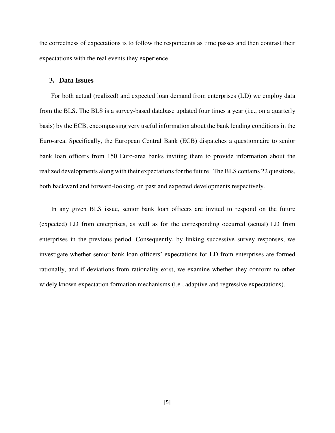the correctness of expectations is to follow the respondents as time passes and then contrast their expectations with the real events they experience.

#### **3. Data Issues**

For both actual (realized) and expected loan demand from enterprises (LD) we employ data from the BLS. The BLS is a survey-based database updated four times a year (i.e., on a quarterly basis) by the ECB, encompassing very useful information about the bank lending conditions in the Euro-area. Specifically, the European Central Bank (ECB) dispatches a questionnaire to senior bank loan officers from 150 Euro-area banks inviting them to provide information about the realized developments along with their expectations for the future. The BLS contains 22 questions, both backward and forward-looking, on past and expected developments respectively.

In any given BLS issue, senior bank loan officers are invited to respond on the future (expected) LD from enterprises, as well as for the corresponding occurred (actual) LD from enterprises in the previous period. Consequently, by linking successive survey responses, we investigate whether senior bank loan officers' expectations for LD from enterprises are formed rationally, and if deviations from rationality exist, we examine whether they conform to other widely known expectation formation mechanisms (i.e., adaptive and regressive expectations).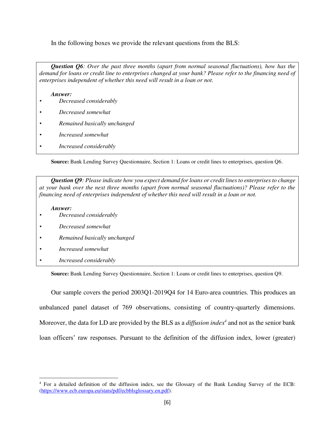In the following boxes we provide the relevant questions from the BLS:

*Question Q6: Over the past three months (apart from normal seasonal fluctuations), how has the demand for loans or credit line to enterprises changed at your bank? Please refer to the financing need of enterprises independent of whether this need will result in a loan or not.* 

#### *Answer:*

- *• Decreased considerably*
- *• Decreased somewhat*
- *• Remained basically unchanged*
- *• Increased somewhat*
- *• Increased considerably*

**Source:** Bank Lending Survey Questionnaire, Section 1: Loans or credit lines to enterprises, question Q6.

*Question Q9: Please indicate how you expect demand for loans or credit lines to enterprises to change at your bank over the next three months (apart from normal seasonal fluctuations)? Please refer to the financing need of enterprises independent of whether this need will result in a loan or not.* 

#### *Answer:*

l

- *• Decreased considerably*
- *• Decreased somewhat*
- *• Remained basically unchanged*
- *• Increased somewhat*
- *• Increased considerably*

**Source:** Bank Lending Survey Questionnaire, Section 1: Loans or credit lines to enterprises, question Q9.

Our sample covers the period 2003Q1-2019Q4 for 14 Euro-area countries. This produces an unbalanced panel dataset of 769 observations, consisting of country-quarterly dimensions. Moreover, the data for LD are provided by the BLS as a *diffusion index<sup>4</sup>* and not as the senior bank loan officers' raw responses. Pursuant to the definition of the diffusion index*,* lower (greater)

<sup>&</sup>lt;sup>4</sup> For a detailed definition of the diffusion index, see the Glossary of the Bank Lending Survey of the ECB: [\(https://www.ecb.europa.eu/stats/pdf/ecbblsglossary.en.pdf\)](https://www.ecb.europa.eu/stats/pdf/ecbblsglossary.en.pdf).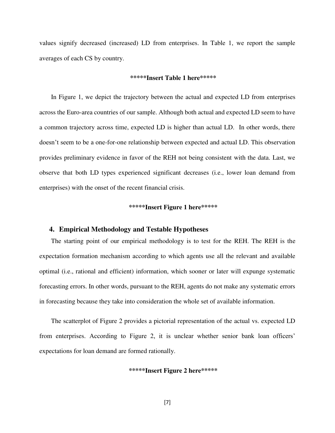values signify decreased (increased) LD from enterprises. In Table 1, we report the sample averages of each CS by country.

#### **\*\*\*\*\*Insert Table 1 here\*\*\*\*\***

In Figure 1, we depict the trajectory between the actual and expected LD from enterprises across the Euro-area countries of our sample. Although both actual and expected LD seem to have a common trajectory across time, expected LD is higher than actual LD. In other words, there doesn't seem to be a one-for-one relationship between expected and actual LD. This observation provides preliminary evidence in favor of the REH not being consistent with the data. Last, we observe that both LD types experienced significant decreases (i.e., lower loan demand from enterprises) with the onset of the recent financial crisis.

#### **\*\*\*\*\*Insert Figure 1 here\*\*\*\*\***

## **4. Empirical Methodology and Testable Hypotheses**

The starting point of our empirical methodology is to test for the REH. The REH is the expectation formation mechanism according to which agents use all the relevant and available optimal (i.e., rational and efficient) information, which sooner or later will expunge systematic forecasting errors. In other words, pursuant to the REH, agents do not make any systematic errors in forecasting because they take into consideration the whole set of available information.

The scatterplot of Figure 2 provides a pictorial representation of the actual vs. expected LD from enterprises. According to Figure 2, it is unclear whether senior bank loan officers' expectations for loan demand are formed rationally.

### **\*\*\*\*\*Insert Figure 2 here\*\*\*\*\***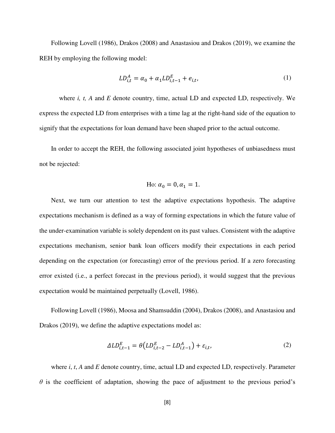Following Lovell (1986), Drakos (2008) and Anastasiou and Drakos (2019), we examine the REH by employing the following model:

$$
LD_{i,t}^{A} = \alpha_0 + \alpha_1 LD_{i,t-1}^{E} + e_{i,t},
$$
\n(1)

where *i, t, A* and *E* denote country, time, actual LD and expected LD, respectively. We express the expected LD from enterprises with a time lag at the right-hand side of the equation to signify that the expectations for loan demand have been shaped prior to the actual outcome.

In order to accept the REH, the following associated joint hypotheses of unbiasedness must not be rejected:

$$
\text{Ho: } \alpha_0 = 0, \alpha_1 = 1.
$$

Next, we turn our attention to test the adaptive expectations hypothesis. The adaptive expectations mechanism is defined as a way of forming expectations in which the future value of the under-examination variable is solely dependent on its past values. Consistent with the adaptive expectations mechanism, senior bank loan officers modify their expectations in each period depending on the expectation (or forecasting) error of the previous period. If a zero forecasting error existed (i.e., a perfect forecast in the previous period), it would suggest that the previous expectation would be maintained perpetually (Lovell, 1986).

Following Lovell (1986), Moosa and Shamsuddin (2004), Drakos (2008), and Anastasiou and Drakos (2019), we define the adaptive expectations model as:

$$
\Delta LD_{i,t-1}^E = \theta \left( LD_{i,t-2}^E - LD_{i,t-1}^A \right) + \varepsilon_{i,t},\tag{2}
$$

where *i*, *t*, *A* and *E* denote country, time, actual LD and expected LD, respectively. Parameter  $\theta$  is the coefficient of adaptation, showing the pace of adjustment to the previous period's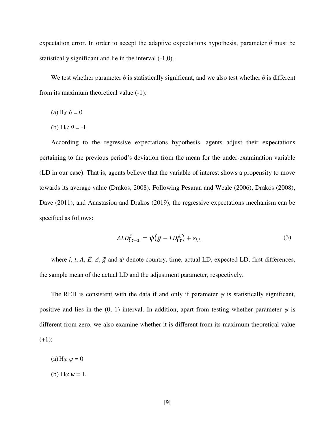expectation error. In order to accept the adaptive expectations hypothesis, parameter  $\theta$  must be statistically significant and lie in the interval (-1,0).

We test whether parameter  $\theta$  is statistically significant, and we also test whether  $\theta$  is different from its maximum theoretical value (-1):

- $(a) H_0: \theta = 0$
- (b) H<sub>0</sub>:  $\theta$  = -1.

According to the regressive expectations hypothesis, agents adjust their expectations pertaining to the previous period's deviation from the mean for the under-examination variable (LD in our case). That is, agents believe that the variable of interest shows a propensity to move towards its average value (Drakos, 2008). Following Pesaran and Weale (2006), Drakos (2008), Dave (2011), and Anastasiou and Drakos (2019), the regressive expectations mechanism can be specified as follows:

$$
\Delta LD_{i,t-1}^E = \psi(\tilde{g} - LD_{i,t}^A) + \varepsilon_{i,t},\tag{3}
$$

where *i*, *t*, *A*, *E*,  $\Delta$ ,  $\tilde{g}$  and  $\psi$  denote country, time, actual LD, expected LD, first differences, the sample mean of the actual LD and the adjustment parameter, respectively.

The REH is consistent with the data if and only if parameter  $\psi$  is statistically significant, positive and lies in the  $(0, 1)$  interval. In addition, apart from testing whether parameter  $\psi$  is different from zero, we also examine whether it is different from its maximum theoretical value  $(+1)$ :

- $(a) H_0: \psi = 0$
- (b) H<sub>0</sub>:  $\psi = 1$ .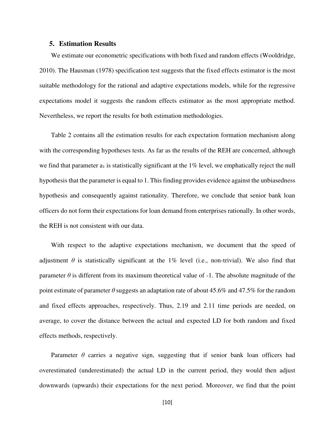### **5. Estimation Results**

We estimate our econometric specifications with both fixed and random effects (Wooldridge, 2010). The Hausman (1978) specification test suggests that the fixed effects estimator is the most suitable methodology for the rational and adaptive expectations models, while for the regressive expectations model it suggests the random effects estimator as the most appropriate method. Nevertheless, we report the results for both estimation methodologies.

Table 2 contains all the estimation results for each expectation formation mechanism along with the corresponding hypotheses tests. As far as the results of the REH are concerned, although we find that parameter  $a_1$  is statistically significant at the 1% level, we emphatically reject the null hypothesis that the parameter is equal to 1. This finding provides evidence against the unbiasedness hypothesis and consequently against rationality. Therefore, we conclude that senior bank loan officers do not form their expectations for loan demand from enterprises rationally. In other words, the REH is not consistent with our data.

With respect to the adaptive expectations mechanism, we document that the speed of adjustment  $\theta$  is statistically significant at the 1% level (i.e., non-trivial). We also find that parameter  $\theta$  is different from its maximum theoretical value of  $-1$ . The absolute magnitude of the point estimate of parameter *θ* suggests an adaptation rate of about 45.6% and 47.5% for the random and fixed effects approaches, respectively. Thus, 2.19 and 2.11 time periods are needed, on average, to cover the distance between the actual and expected LD for both random and fixed effects methods, respectively.

Parameter  $\theta$  carries a negative sign, suggesting that if senior bank loan officers had overestimated (underestimated) the actual LD in the current period, they would then adjust downwards (upwards) their expectations for the next period. Moreover, we find that the point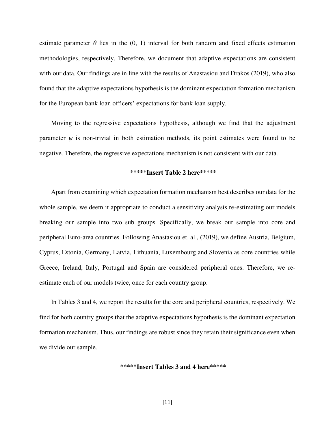estimate parameter  $\theta$  lies in the (0, 1) interval for both random and fixed effects estimation methodologies, respectively. Therefore, we document that adaptive expectations are consistent with our data. Our findings are in line with the results of Anastasiou and Drakos (2019), who also found that the adaptive expectations hypothesis is the dominant expectation formation mechanism for the European bank loan officers' expectations for bank loan supply.

Moving to the regressive expectations hypothesis, although we find that the adjustment parameter  $\psi$  is non-trivial in both estimation methods, its point estimates were found to be negative. Therefore, the regressive expectations mechanism is not consistent with our data.

# **\*\*\*\*\*Insert Table 2 here\*\*\*\*\***

Apart from examining which expectation formation mechanism best describes our data for the whole sample, we deem it appropriate to conduct a sensitivity analysis re-estimating our models breaking our sample into two sub groups. Specifically, we break our sample into core and peripheral Euro-area countries. Following Anastasiou et. al., (2019), we define Austria, Belgium, Cyprus, Estonia, Germany, Latvia, Lithuania, Luxembourg and Slovenia as core countries while Greece, Ireland, Italy, Portugal and Spain are considered peripheral ones. Therefore, we reestimate each of our models twice, once for each country group.

In Tables 3 and 4, we report the results for the core and peripheral countries, respectively. We find for both country groups that the adaptive expectations hypothesis is the dominant expectation formation mechanism. Thus, our findings are robust since they retain their significance even when we divide our sample.

#### **\*\*\*\*\*Insert Tables 3 and 4 here\*\*\*\*\***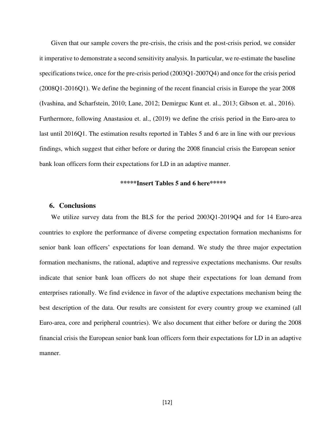Given that our sample covers the pre-crisis, the crisis and the post-crisis period, we consider it imperative to demonstrate a second sensitivity analysis. In particular, we re-estimate the baseline specifications twice, once for the pre-crisis period (2003Q1-2007Q4) and once for the crisis period (2008Q1-2016Q1). We define the beginning of the recent financial crisis in Europe the year 2008 (Ivashina, and Scharfstein, 2010; Lane, 2012; Demirguc Kunt et. al., 2013; Gibson et. al., 2016). Furthermore, following Anastasiou et. al., (2019) we define the crisis period in the Euro-area to last until 2016Q1. The estimation results reported in Tables 5 and 6 are in line with our previous findings, which suggest that either before or during the 2008 financial crisis the European senior bank loan officers form their expectations for LD in an adaptive manner.

#### **\*\*\*\*\*Insert Tables 5 and 6 here\*\*\*\*\***

## **6. Conclusions**

We utilize survey data from the BLS for the period 2003Q1-2019Q4 and for 14 Euro-area countries to explore the performance of diverse competing expectation formation mechanisms for senior bank loan officers' expectations for loan demand. We study the three major expectation formation mechanisms, the rational, adaptive and regressive expectations mechanisms. Our results indicate that senior bank loan officers do not shape their expectations for loan demand from enterprises rationally. We find evidence in favor of the adaptive expectations mechanism being the best description of the data. Our results are consistent for every country group we examined (all Euro-area, core and peripheral countries). We also document that either before or during the 2008 financial crisis the European senior bank loan officers form their expectations for LD in an adaptive manner.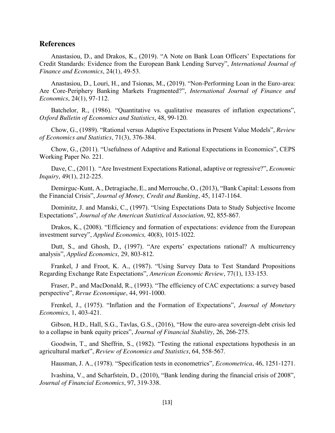# **References**

Anastasiou, D., and Drakos, K., (2019). "A Note on Bank Loan Officers' Expectations for Credit Standards: Evidence from the European Bank Lending Survey", *International Journal of Finance and Economics*, 24(1), 49-53.

Anastasiou, D., Louri, H., and Tsionas, M., (2019). "Non-Performing Loan in the Euro-area: Are Core-Periphery Banking Markets Fragmented?", *International Journal of Finance and Economics*, 24(1), 97-112.

Batchelor, R., (1986). "Quantitative vs. qualitative measures of inflation expectations", *Oxford Bulletin of Economics and Statistics*, 48, 99-120.

Chow, G., (1989). "Rational versus Adaptive Expectations in Present Value Models", *Review of Economics and Statistics*, 71(3), 376-384.

Chow, G., (2011). "Usefulness of Adaptive and Rational Expectations in Economics", CEPS Working Paper No. 221.

Dave, C., (2011). "Are Investment Expectations Rational, adaptive or regressive?", *Economic Inquiry*, 49(1), 212-225.

Demirguc-Kunt, A., Detragiache, E., and Merrouche, O., (2013), "Bank Capital: Lessons from the Financial Crisis", *Journal of Money, Credit and Banking*, 45, 1147-1164.

Dominitz, J. and Manski, C., (1997). "Using Expectations Data to Study Subjective Income Expectations", *Journal of the American Statistical Association*, 92, 855-867.

Drakos, K., (2008). "Efficiency and formation of expectations: evidence from the European investment survey", *Applied Economics,* 40(8), 1015-1022.

Dutt, S., and Ghosh, D., (1997). "Are experts' expectations rational? A multicurrency analysis", *Applied Economics*, 29, 803-812.

Frankel, J and Froot, K. A., (1987). "Using Survey Data to Test Standard Propositions Regarding Exchange Rate Expectations", *American Economic Review*, 77(1), 133-153.

Fraser, P., and MacDonald, R., (1993). "The efficiency of CAC expectations: a survey based perspective", *Revue Economique*, 44, 991-1000.

Frenkel, J., (1975). "Inflation and the Formation of Expectations", *Journal of Monetary Economics*, 1, 403-421.

Gibson, H.D., Hall, S.G., Tavlas, G.S., (2016), "How the euro-area sovereign-debt crisis led to a collapse in bank equity prices", *Journal of Financial Stability*, 26, 266-275.

Goodwin, T., and Sheffrin, S., (1982). "Testing the rational expectations hypothesis in an agricultural market", *Review of Economics and Statistics*, 64, 558-567.

Hausman, J. A., (1978). "Specification tests in econometrics", *Econometrica*, 46, 1251-1271.

Ivashina, V., and Scharfstein, D., (2010), "Bank lending during the financial crisis of 2008", *Journal of Financial Economics*, 97, 319-338.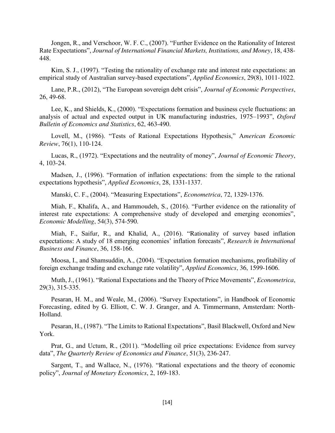Jongen, R., and Verschoor, W. F. C., (2007). "Further Evidence on the Rationality of Interest Rate Expectations", *Journal of International Financial Markets, Institutions, and Money*, 18, 438- 448.

Kim, S. J., (1997). "Testing the rationality of exchange rate and interest rate expectations: an empirical study of Australian survey-based expectations", *Applied Economics*, 29(8), 1011-1022.

Lane, P.R., (2012), "The European sovereign debt crisis", *Journal of Economic Perspectives*, 26, 49-68.

Lee, K., and Shields, K., (2000). "Expectations formation and business cycle fluctuations: an analysis of actual and expected output in UK manufacturing industries, 1975–1993", *Oxford Bulletin of Economics and Statistics*, 62, 463-490.

Lovell, M., (1986). "Tests of Rational Expectations Hypothesis," A*merican Economic Review*, 76(1), 110-124.

Lucas, R., (1972). "Expectations and the neutrality of money", *Journal of Economic Theory*, 4, 103-24.

Madsen, J., (1996). "Formation of inflation expectations: from the simple to the rational expectations hypothesis", *Applied Economics*, 28, 1331-1337.

Manski, C. F., (2004). "Measuring Expectations", *Econometrica*, 72, 1329-1376.

Miah, F., Khalifa, A., and Hammoudeh, S., (2016). "Further evidence on the rationality of interest rate expectations: A comprehensive study of developed and emerging economies", *Economic Modelling*, 54(3), 574-590.

Miah, F., Saifur, R., and Khalid, A., (2016). "Rationality of survey based inflation expectations: A study of 18 emerging economies' inflation forecasts", *Research in International Business and Finance*, 36, 158-166.

Moosa, I., and Shamsuddin, A., (2004). "Expectation formation mechanisms, profitability of foreign exchange trading and exchange rate volatility", *Applied Economics*, 36, 1599-1606.

Muth, J., (1961). "Rational Expectations and the Theory of Price Movements", *Econometrica*, 29(3), 315-335.

Pesaran, H. M., and Weale, M., (2006). "Survey Expectations", in Handbook of Economic Forecasting, edited by G. Elliott, C. W. J. Granger, and A. Timmermann, Amsterdam: North-Holland.

Pesaran, H., (1987). "The Limits to Rational Expectations", Basil Blackwell, Oxford and New York.

Prat, G., and Uctum, R., (2011). "Modelling oil price expectations: Evidence from survey data", *The Quarterly Review of Economics and Finance*, 51(3), 236-247.

Sargent, T., and Wallace, N., (1976). "Rational expectations and the theory of economic policy", *Journal of Monetary Economics*, 2, 169-183.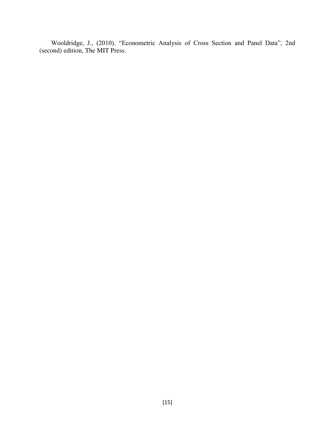Wooldridge, J., (2010). "Econometric Analysis of Cross Section and Panel Data", 2nd (second) edition, The MIT Press.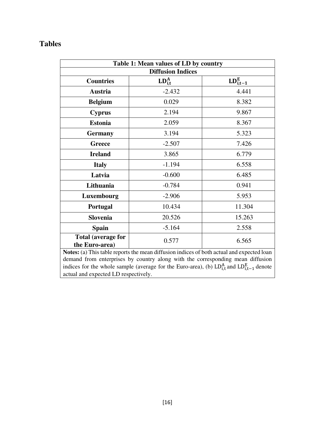# **Tables**

| Table 1: Mean values of LD by country                                                                                                                                       |          |        |  |  |  |  |  |
|-----------------------------------------------------------------------------------------------------------------------------------------------------------------------------|----------|--------|--|--|--|--|--|
| <b>Diffusion Indices</b><br>$LD_{i.t}^A$<br>$\mathbf{L}\mathbf{D}_{i,t-1}^E$<br><b>Countries</b>                                                                            |          |        |  |  |  |  |  |
| <b>Austria</b>                                                                                                                                                              | $-2.432$ | 4.441  |  |  |  |  |  |
| <b>Belgium</b>                                                                                                                                                              | 0.029    | 8.382  |  |  |  |  |  |
| <b>Cyprus</b>                                                                                                                                                               | 2.194    | 9.867  |  |  |  |  |  |
| <b>Estonia</b>                                                                                                                                                              | 2.059    | 8.367  |  |  |  |  |  |
| <b>Germany</b>                                                                                                                                                              | 3.194    | 5.323  |  |  |  |  |  |
| <b>Greece</b>                                                                                                                                                               | $-2.507$ | 7.426  |  |  |  |  |  |
| <b>Ireland</b>                                                                                                                                                              | 3.865    | 6.779  |  |  |  |  |  |
| <b>Italy</b>                                                                                                                                                                | $-1.194$ | 6.558  |  |  |  |  |  |
| Latvia                                                                                                                                                                      | $-0.600$ | 6.485  |  |  |  |  |  |
| Lithuania                                                                                                                                                                   | $-0.784$ | 0.941  |  |  |  |  |  |
| Luxembourg                                                                                                                                                                  | $-2.906$ | 5.953  |  |  |  |  |  |
| Portugal                                                                                                                                                                    | 10.434   | 11.304 |  |  |  |  |  |
| Slovenia                                                                                                                                                                    | 20.526   | 15.263 |  |  |  |  |  |
| <b>Spain</b>                                                                                                                                                                | $-5.164$ | 2.558  |  |  |  |  |  |
| <b>Total (average for</b><br>the Euro-area)                                                                                                                                 | 0.577    | 6.565  |  |  |  |  |  |
| Notes: (a) This table reports the mean diffusion indices of both actual and expected loan<br>demand from enterprises by country along with the corresponding mean diffusion |          |        |  |  |  |  |  |

indices for the whole sample (average for the Euro-area), (b)  $LD_{i,t}^A$  and  $LD_{i,t-1}^E$  denote actual and expected LD respectively.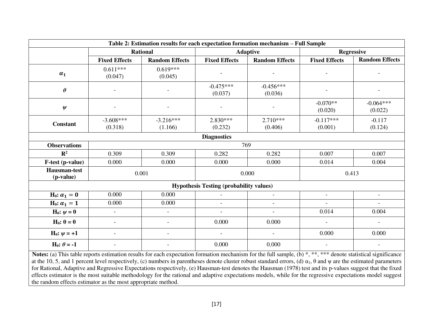| Table 2: Estimation results for each expectation formation mechanism - Full Sample |                        |                        |                                                |                          |                          |                          |  |
|------------------------------------------------------------------------------------|------------------------|------------------------|------------------------------------------------|--------------------------|--------------------------|--------------------------|--|
|                                                                                    | <b>Rational</b>        |                        | <b>Adaptive</b>                                |                          | <b>Regressive</b>        |                          |  |
|                                                                                    | <b>Fixed Effects</b>   | <b>Random Effects</b>  | <b>Fixed Effects</b>                           | <b>Random Effects</b>    | <b>Fixed Effects</b>     | <b>Random Effects</b>    |  |
| $\alpha_1$                                                                         | $0.611***$<br>(0.047)  | $0.619***$<br>(0.045)  |                                                |                          |                          |                          |  |
| $\boldsymbol{\theta}$                                                              |                        |                        | $-0.475***$<br>(0.037)                         | $-0.456***$<br>(0.036)   |                          |                          |  |
| $\psi$                                                                             |                        |                        |                                                | $\overline{\phantom{a}}$ | $-0.070**$<br>(0.020)    | $-0.064***$<br>(0.022)   |  |
| <b>Constant</b>                                                                    | $-3.608***$<br>(0.318) | $-3.216***$<br>(1.166) | $2.830***$<br>(0.232)                          | $2.710***$<br>(0.406)    | $-0.117***$<br>(0.001)   | $-0.117$<br>(0.124)      |  |
|                                                                                    | <b>Diagnostics</b>     |                        |                                                |                          |                          |                          |  |
| <b>Observations</b>                                                                |                        |                        |                                                | 769                      |                          |                          |  |
| $\mathbf{R}^2$                                                                     | 0.309                  | 0.309                  | 0.282                                          | 0.282                    | 0.007                    | 0.007                    |  |
| F-test (p-value)                                                                   | 0.000                  | 0.000                  | 0.000                                          | 0.000                    | 0.014                    | 0.004                    |  |
| <b>Hausman-test</b><br>(p-value)                                                   | 0.001                  |                        | 0.000                                          |                          | 0.413                    |                          |  |
|                                                                                    |                        |                        | <b>Hypothesis Testing (probability values)</b> |                          |                          |                          |  |
| H <sub>0</sub> : $\alpha_1 = 0$                                                    | 0.000                  | 0.000                  |                                                | $\overline{\phantom{a}}$ | $\overline{\phantom{a}}$ | $\blacksquare$           |  |
| H <sub>0</sub> : $\alpha_1 = 1$                                                    | 0.000                  | 0.000                  | $\blacksquare$                                 | $\overline{\phantom{a}}$ | $\overline{\phantom{a}}$ | $\overline{\phantom{a}}$ |  |
| $H_0: \psi = 0$                                                                    | $\equiv$               | $\blacksquare$         | $\blacksquare$                                 | $\blacksquare$           | 0.014                    | 0.004                    |  |
| $H_0$ : $\theta = 0$                                                               |                        |                        | 0.000                                          | 0.000                    | $\overline{\phantom{0}}$ | $\overline{\phantom{a}}$ |  |
| $H_0: \psi = +1$                                                                   |                        |                        |                                                |                          | 0.000                    | 0.000                    |  |
| $H_0$ : $\theta$ = -1                                                              |                        |                        | 0.000                                          | 0.000                    |                          |                          |  |

Notes: (a) This table reports estimation results for each expectation formation mechanism for the full sample, (b) \*, \*\*, \*\*\* denote statistical significance at the 10, 5, and 1 percent level respectively, (c) numbers in parentheses denote cluster robust standard errors, (d)  $\alpha_1$ ,  $\theta$  and  $\psi$  are the estimated parameters for Rational, Adaptive and Regressive Expectations respectively, (e) Hausman-test denotes the Hausman (1978) test and its p-values suggest that the fixed effects estimator is the most suitable methodology for the rational and adaptive expectations models, while for the regressive expectations model suggest the random effects estimator as the most appropriate method.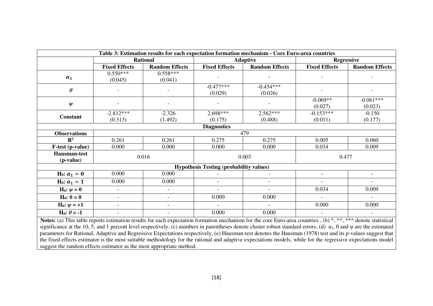|                                                                                                                                                                                                                                                                                                                                                        |                          |                          |                                                | Table 3: Estimation results for each expectation formation mechanism - Core Euro-area countries |                          |                       |  |  |
|--------------------------------------------------------------------------------------------------------------------------------------------------------------------------------------------------------------------------------------------------------------------------------------------------------------------------------------------------------|--------------------------|--------------------------|------------------------------------------------|-------------------------------------------------------------------------------------------------|--------------------------|-----------------------|--|--|
|                                                                                                                                                                                                                                                                                                                                                        | <b>Rational</b>          |                          |                                                | <b>Adaptive</b>                                                                                 |                          | <b>Regressive</b>     |  |  |
|                                                                                                                                                                                                                                                                                                                                                        | <b>Fixed Effects</b>     | <b>Random Effects</b>    | <b>Fixed Effects</b>                           | <b>Random Effects</b>                                                                           | <b>Fixed Effects</b>     | <b>Random Effects</b> |  |  |
|                                                                                                                                                                                                                                                                                                                                                        | $0.550***$               | $0.558***$               |                                                |                                                                                                 |                          |                       |  |  |
| $\alpha_1$                                                                                                                                                                                                                                                                                                                                             | (0.045)                  | (0.041)                  |                                                |                                                                                                 |                          |                       |  |  |
| $\boldsymbol{\theta}$                                                                                                                                                                                                                                                                                                                                  |                          |                          | $-0.477***$                                    | $-0.454***$                                                                                     |                          |                       |  |  |
|                                                                                                                                                                                                                                                                                                                                                        |                          |                          | (0.029)                                        | (0.026)                                                                                         |                          |                       |  |  |
|                                                                                                                                                                                                                                                                                                                                                        |                          |                          |                                                | $\overline{\phantom{a}}$                                                                        | $-0.069**$               | $-0.061***$           |  |  |
| $\psi$                                                                                                                                                                                                                                                                                                                                                 |                          |                          |                                                |                                                                                                 | (0.027)                  | (0.023)               |  |  |
| <b>Constant</b>                                                                                                                                                                                                                                                                                                                                        | $-2.812***$              | $-2.326$                 | $2.698***$                                     | $2.562***$                                                                                      | $-0.153***$              | $-0.150$              |  |  |
|                                                                                                                                                                                                                                                                                                                                                        | (0.313)                  | (1.492)                  | (0.175)                                        | (0.488)                                                                                         | (0.011)                  | (0.177)               |  |  |
|                                                                                                                                                                                                                                                                                                                                                        | <b>Diagnostics</b>       |                          |                                                |                                                                                                 |                          |                       |  |  |
| <b>Observations</b>                                                                                                                                                                                                                                                                                                                                    |                          |                          |                                                | 479                                                                                             |                          |                       |  |  |
| $\mathbf{R}^2$                                                                                                                                                                                                                                                                                                                                         | 0.261                    | 0.261                    | 0.275                                          | 0.275                                                                                           | 0.005                    | 0.060                 |  |  |
| <b>F-test (p-value)</b>                                                                                                                                                                                                                                                                                                                                | 0.000                    | 0.000                    | 0.000                                          | 0.000                                                                                           | 0.034                    | 0.009                 |  |  |
| Hausman-test                                                                                                                                                                                                                                                                                                                                           |                          | 0.016                    |                                                |                                                                                                 |                          |                       |  |  |
| (p-value)                                                                                                                                                                                                                                                                                                                                              |                          |                          | 0.003<br>0.477                                 |                                                                                                 |                          |                       |  |  |
|                                                                                                                                                                                                                                                                                                                                                        |                          |                          | <b>Hypothesis Testing (probability values)</b> |                                                                                                 |                          |                       |  |  |
| H <sub>0</sub> : $\alpha_1 = 0$                                                                                                                                                                                                                                                                                                                        | 0.000                    | 0.000                    |                                                | $\blacksquare$                                                                                  | $\overline{\phantom{0}}$ |                       |  |  |
| $H_0: \alpha_1 = 1$                                                                                                                                                                                                                                                                                                                                    | 0.000                    | 0.000                    |                                                |                                                                                                 |                          |                       |  |  |
| $H_0: \psi = 0$                                                                                                                                                                                                                                                                                                                                        | $\overline{\phantom{a}}$ |                          |                                                | $\overline{a}$                                                                                  | 0.034                    | 0.009                 |  |  |
| $H_0$ : $\theta = 0$                                                                                                                                                                                                                                                                                                                                   | $\overline{\phantom{a}}$ | $\overline{\phantom{a}}$ | 0.000                                          | 0.000                                                                                           | $\overline{a}$           | $\overline{a}$        |  |  |
| $H_0: \psi = +1$                                                                                                                                                                                                                                                                                                                                       | $\overline{\phantom{a}}$ | $\overline{a}$           |                                                | $\blacksquare$                                                                                  | 0.000                    | 0.000                 |  |  |
| H <sub>0</sub> : $\theta$ = -1                                                                                                                                                                                                                                                                                                                         | $\overline{\phantom{a}}$ |                          | 0.000                                          | 0.000                                                                                           |                          |                       |  |  |
| Notes: (a) This table reports estimation results for each expectation formation mechanism for the core Euro-area countries, (b) *, **, *** denote statistical<br>significance at the 10, 5, and 1 percent level respectively, (c) numbers in parentheses denote cluster robust standard errors, (d) $\alpha_1$ , $\theta$ and $\psi$ are the estimated |                          |                          |                                                |                                                                                                 |                          |                       |  |  |

parameters for Rational, Adaptive and Regressive Expectations respectively, (e) Hausman-test denotes the Hausman (1978) test and its p-values suggest that the fixed effects estimator is the most suitable methodology for the rational and adaptive expectations models, while for the regressive expectations model suggest the random effects estimator as the most appropriate method.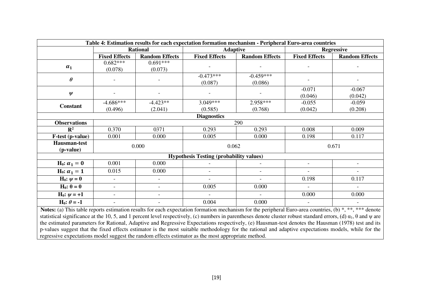|                                 | <b>Rational</b>      |                          | <b>Adaptive</b>                                |                          | <b>Regressive</b>    |                          |
|---------------------------------|----------------------|--------------------------|------------------------------------------------|--------------------------|----------------------|--------------------------|
|                                 | <b>Fixed Effects</b> | <b>Random Effects</b>    | <b>Fixed Effects</b>                           | <b>Random Effects</b>    | <b>Fixed Effects</b> | <b>Random Effects</b>    |
|                                 | $0.682***$           | $0.691***$               |                                                |                          |                      |                          |
| $\alpha_1$                      | (0.078)              | (0.073)                  |                                                |                          |                      |                          |
| $\boldsymbol{\theta}$           |                      |                          | $-0.473***$                                    | $-0.459***$              |                      |                          |
|                                 |                      |                          | (0.087)                                        | (0.086)                  |                      |                          |
|                                 |                      |                          |                                                |                          | $-0.071$             | $-0.067$                 |
| $\psi$                          |                      |                          |                                                |                          | (0.046)              | (0.042)                  |
| <b>Constant</b>                 | $-4.686***$          | $-4.423**$               | $3.049***$                                     | 2.958***                 | $-0.055$             | $-0.059$                 |
|                                 | (0.496)              | (2.041)                  | (0.585)                                        | (0.768)                  | (0.042)              | (0.208)                  |
|                                 |                      |                          | <b>Diagnostics</b>                             |                          |                      |                          |
| <b>Observations</b>             |                      |                          |                                                | 290                      |                      |                          |
| $\mathbf{R}^2$                  | 0.370                | 0371                     | 0.293                                          | 0.293                    | 0.008                | 0.009                    |
| <b>F-test (p-value)</b>         | 0.001                | 0.000                    | 0.005                                          | 0.000                    | 0.198                | 0.117                    |
| Hausman-test                    |                      | 0.000                    |                                                |                          |                      |                          |
| ( <i>p</i> -value)              |                      |                          |                                                | 0.062<br>0.671           |                      |                          |
|                                 |                      |                          | <b>Hypothesis Testing (probability values)</b> |                          |                      |                          |
| H <sub>0</sub> : $\alpha_1 = 0$ | 0.001                | 0.000                    |                                                | $\blacksquare$           | $\blacksquare$       | $\overline{\phantom{0}}$ |
| H <sub>0</sub> : $\alpha_1 = 1$ | 0.015                | 0.000                    |                                                |                          |                      |                          |
| $H_0: \psi = 0$                 | $\blacksquare$       | $\overline{\phantom{a}}$ | $\overline{\phantom{a}}$                       | $\overline{\phantom{0}}$ | 0.198                | 0.117                    |
| $H_0$ : $\theta = 0$            | $\blacksquare$       | $\overline{\phantom{a}}$ | 0.005                                          | 0.000                    |                      | $\overline{\phantom{a}}$ |
| $H_0: \psi = +1$                |                      | $\blacksquare$           |                                                | $\overline{a}$           | 0.000                | 0.000                    |
| $H_0$ : $\theta$ = -1           |                      |                          | 0.004                                          | 0.000                    |                      |                          |

statistical significance at the 10, 5, and 1 percent level respectively, (c) numbers in parentheses denote cluster robust standard errors, (d)  $\alpha_1$ ,  $\theta$  and  $\psi$  are the estimated parameters for Rational, Adaptive and Regressive Expectations respectively, (e) Hausman-test denotes the Hausman (1978) test and its p-values suggest that the fixed effects estimator is the most suitable methodology for the rational and adaptive expectations models, while for the regressive expectations model suggest the random effects estimator as the most appropriate method.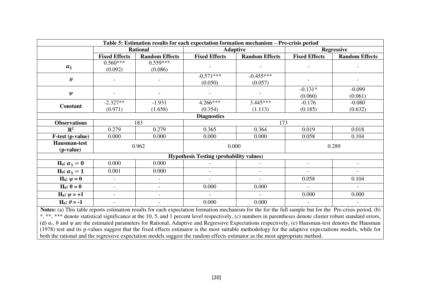| Table 5: Estimation results for each expectation formation mechanism - Pre-crisis period                                                                 |                          |                          |                      |                          |                          |                          |  |
|----------------------------------------------------------------------------------------------------------------------------------------------------------|--------------------------|--------------------------|----------------------|--------------------------|--------------------------|--------------------------|--|
|                                                                                                                                                          |                          | <b>Rational</b>          | <b>Adaptive</b>      |                          | <b>Regressive</b>        |                          |  |
|                                                                                                                                                          | <b>Fixed Effects</b>     | <b>Random Effects</b>    | <b>Fixed Effects</b> | <b>Random Effects</b>    | <b>Fixed Effects</b>     | <b>Random Effects</b>    |  |
|                                                                                                                                                          | $0.560***$               | $0.559***$               |                      |                          |                          |                          |  |
| $\alpha_1$                                                                                                                                               | (0.092)                  | (0.086)                  |                      |                          |                          |                          |  |
| $\boldsymbol{\theta}$                                                                                                                                    |                          |                          | $-0.571***$          | $-0.455***$              |                          |                          |  |
|                                                                                                                                                          |                          |                          | (0.050)              | (0.057)                  |                          |                          |  |
|                                                                                                                                                          |                          |                          |                      | $\overline{\phantom{a}}$ | $-0.131*$                | $-0.099$                 |  |
| $\psi$                                                                                                                                                   |                          |                          |                      |                          | (0.060)                  | (0.061)                  |  |
| <b>Constant</b>                                                                                                                                          | $-2.327**$               | $-1.931$                 | $4.266***$           | $3.445***$               | $-0.176$                 | $-0.080$                 |  |
|                                                                                                                                                          | (0.971)                  | (1.658)                  | (0.354)              | (1.113)                  | (0.185)                  | (0.632)                  |  |
| <b>Diagnostics</b>                                                                                                                                       |                          |                          |                      |                          |                          |                          |  |
| <b>Observations</b>                                                                                                                                      | 183                      |                          |                      | 173                      |                          |                          |  |
| $\mathbf{R}^2$                                                                                                                                           | 0.279                    | 0.279                    | 0.365                | 0.364                    | 0.019                    | 0.018                    |  |
| <b>F-test (p-value)</b>                                                                                                                                  | 0.000                    | 0.000                    | 0.000                | 0.000                    | 0.058                    | 0.104                    |  |
| Hausman-test                                                                                                                                             | 0.962                    |                          | 0.000                |                          |                          | 0.289                    |  |
| (p-value)                                                                                                                                                |                          |                          |                      |                          |                          |                          |  |
| <b>Hypothesis Testing (probability values)</b>                                                                                                           |                          |                          |                      |                          |                          |                          |  |
| H <sub>0</sub> : $\alpha_1 = 0$                                                                                                                          | 0.000                    | 0.000                    |                      |                          | $\overline{\phantom{a}}$ |                          |  |
| H <sub>0</sub> : $\alpha_1 = 1$                                                                                                                          | 0.001                    | 0.000                    |                      | $\overline{\phantom{a}}$ |                          |                          |  |
| <b>H</b> <sub>0</sub> : $\psi = 0$                                                                                                                       | $\overline{\phantom{a}}$ | $\overline{\phantom{a}}$ | $\blacksquare$       | $\overline{\phantom{a}}$ | 0.058                    | 0.104                    |  |
| $H_0$ : $\theta = 0$                                                                                                                                     | $\overline{\phantom{a}}$ | $\overline{\phantom{a}}$ | 0.000                | 0.000                    | $\blacksquare$           | $\overline{\phantom{0}}$ |  |
| $H_0: \psi = +1$                                                                                                                                         | $\overline{\phantom{a}}$ |                          |                      | $\overline{\phantom{a}}$ | 0.000                    | 0.000                    |  |
| $H_0$ : $\theta$ = -1                                                                                                                                    | $\overline{\phantom{a}}$ | $\overline{\phantom{a}}$ | 0.000                | 0.000                    | $\blacksquare$           | $\blacksquare$           |  |
| Notes: (a) This table reports estimation results for each expectation formation mechanism for the for the full sample but for the Pre-crisis period, (b) |                          |                          |                      |                          |                          |                          |  |

\*, \*\*, \*\*\* denote statistical significance at the 10, 5, and 1 percent level respectively, (c) numbers in parentheses denote cluster robust standard errors, (d)  $α_1$ ,  $θ$  and  $ψ$  are the estimated parameters for Rational, Adaptive and Regressive Expectations respectively, (e) Hausman-test denotes the Hausman (1978) test and its p-values suggest that the fixed effects estimator is the most suitable methodology for the adaptive expectations models, while for both the rational and the regressive expectation models suggest the random effects estimator as the most appropriate method.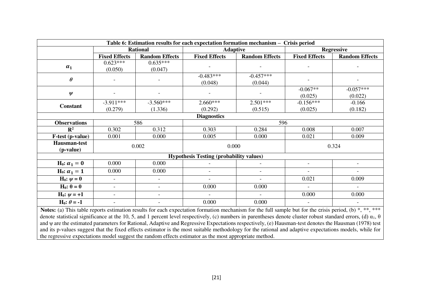| Table 6: Estimation results for each expectation formation mechanism - Crisis period                                                                  |                      |                          |                                                |                       |                          |                       |  |
|-------------------------------------------------------------------------------------------------------------------------------------------------------|----------------------|--------------------------|------------------------------------------------|-----------------------|--------------------------|-----------------------|--|
|                                                                                                                                                       | <b>Rational</b>      |                          | <b>Adaptive</b>                                |                       | <b>Regressive</b>        |                       |  |
|                                                                                                                                                       | <b>Fixed Effects</b> | <b>Random Effects</b>    | <b>Fixed Effects</b>                           | <b>Random Effects</b> | <b>Fixed Effects</b>     | <b>Random Effects</b> |  |
|                                                                                                                                                       | $0.623***$           | $0.635***$               |                                                |                       |                          |                       |  |
| $\alpha_1$                                                                                                                                            | (0.050)              | (0.047)                  |                                                |                       |                          |                       |  |
| $\theta$                                                                                                                                              |                      |                          | $-0.483***$                                    | $-0.457***$           |                          |                       |  |
|                                                                                                                                                       |                      |                          | (0.048)                                        | (0.044)               |                          |                       |  |
| $\psi$                                                                                                                                                |                      |                          |                                                |                       | $-0.067**$               | $-0.057***$           |  |
|                                                                                                                                                       |                      |                          |                                                |                       | (0.025)                  | (0.022)               |  |
| <b>Constant</b>                                                                                                                                       | $-3.911***$          | $-3.560***$              | $2.660***$                                     | $2.501***$            | $-0.156***$              | $-0.166$              |  |
|                                                                                                                                                       | (0.279)              | (1.336)                  | (0.292)                                        | (0.515)               | (0.025)                  | (0.182)               |  |
|                                                                                                                                                       | <b>Diagnostics</b>   |                          |                                                |                       |                          |                       |  |
| <b>Observations</b>                                                                                                                                   | 586                  |                          | 596                                            |                       |                          |                       |  |
| $\mathbf{R}^2$                                                                                                                                        | 0.302                | 0.312                    | 0.303                                          | 0.284                 | 0.008                    | 0.007                 |  |
| <b>F-test (p-value)</b>                                                                                                                               | 0.001                | 0.000                    | 0.005                                          | 0.000                 | 0.021                    | 0.009                 |  |
| Hausman-test                                                                                                                                          | 0.002                |                          | 0.000                                          |                       | 0.324                    |                       |  |
| ( <i>p</i> -value)                                                                                                                                    |                      |                          |                                                |                       |                          |                       |  |
|                                                                                                                                                       |                      |                          | <b>Hypothesis Testing (probability values)</b> |                       |                          |                       |  |
| H <sub>0</sub> : $\alpha_1 = 0$                                                                                                                       | 0.000                | 0.000                    |                                                |                       | $\blacksquare$           | $\blacksquare$        |  |
| H <sub>0</sub> : $\alpha_1 = 1$                                                                                                                       | 0.000                | 0.000                    |                                                |                       |                          |                       |  |
| H <sub>0</sub> : $\psi = 0$                                                                                                                           |                      | $\blacksquare$           |                                                |                       | 0.021                    | 0.009                 |  |
| $H_0$ : $\theta = 0$                                                                                                                                  |                      | $\overline{\phantom{a}}$ | 0.000                                          | 0.000                 | $\overline{\phantom{a}}$ |                       |  |
| $H_0: \psi = +1$                                                                                                                                      |                      |                          |                                                | $\blacksquare$        | 0.000                    | 0.000                 |  |
| $H_0$ : $\theta$ = -1                                                                                                                                 |                      |                          | 0.000                                          | 0.000                 |                          |                       |  |
| Notes (a) This toble reports estimation results for each expectation formation mechanism for the full sample but for the crisis period (b) $*$ ** *** |                      |                          |                                                |                       |                          |                       |  |

Notes: (a) This table reports estimation results for each expectation formation mechanism for the full sample but for the crisis period, (b)  $*$ , denote statistical significance at the 10, 5, and 1 percent level respectively, (c) numbers in parentheses denote cluster robust standard errors, (d)  $\alpha_1$ ,  $\theta$ and ψ are the estimated parameters for Rational, Adaptive and Regressive Expectations respectively, (e) Hausman-test denotes the Hausman (1978) test and its p-values suggest that the fixed effects estimator is the most suitable methodology for the rational and adaptive expectations models, while for the regressive expectations model suggest the random effects estimator as the most appropriate method.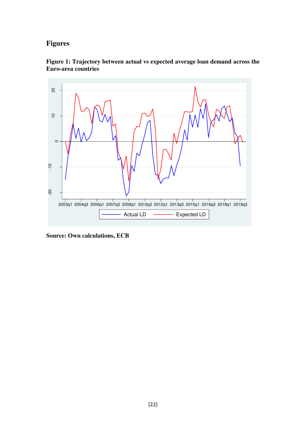# **Figures**